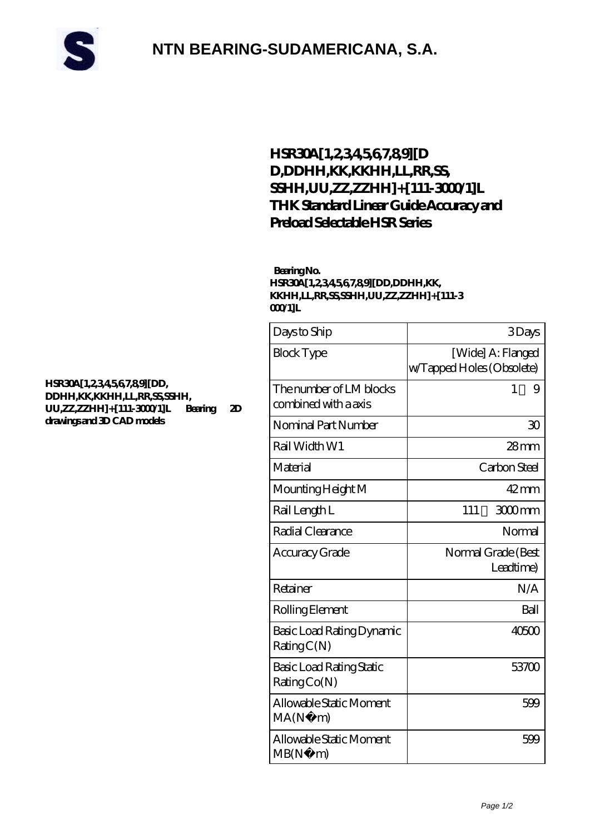

## **[NTN BEARING-SUDAMERICANA, S.A.](https://cyberfembot.com)**

### **[HSR30A\[1,2,3,4,5,6,7,8,9\]\[D](https://cyberfembot.com/thk-linear-guide-rails/hsr30a-1-2-3-4-5-6-7-8-9-dd-ddhh-kk-kkhh-ll-rr-ss-sshh-uu-zz-zzhh-111-3000-1-l.html) [D,DDHH,KK,KKHH,LL,RR,SS,](https://cyberfembot.com/thk-linear-guide-rails/hsr30a-1-2-3-4-5-6-7-8-9-dd-ddhh-kk-kkhh-ll-rr-ss-sshh-uu-zz-zzhh-111-3000-1-l.html) [SSHH,UU,ZZ,ZZHH\]+\[111-3000/1\]L](https://cyberfembot.com/thk-linear-guide-rails/hsr30a-1-2-3-4-5-6-7-8-9-dd-ddhh-kk-kkhh-ll-rr-ss-sshh-uu-zz-zzhh-111-3000-1-l.html) [THK Standard Linear Guide Accuracy and](https://cyberfembot.com/thk-linear-guide-rails/hsr30a-1-2-3-4-5-6-7-8-9-dd-ddhh-kk-kkhh-ll-rr-ss-sshh-uu-zz-zzhh-111-3000-1-l.html) [Preload Selectable HSR Series](https://cyberfembot.com/thk-linear-guide-rails/hsr30a-1-2-3-4-5-6-7-8-9-dd-ddhh-kk-kkhh-ll-rr-ss-sshh-uu-zz-zzhh-111-3000-1-l.html)**

#### **Bearing No. HSR30A[1,2,3,4,5,6,7,8,9][DD,DDHH,KK, KKHH,LL,RR,SS,SSHH,UU,ZZ,ZZHH]+[111-3 000/1]L**

| Days to Ship                                    | 3Days                                          |
|-------------------------------------------------|------------------------------------------------|
| <b>Block Type</b>                               | [Wide] A: Flanged<br>w/Tapped Holes (Obsolete) |
| The number of LM blocks<br>combined with a axis | 9<br>1                                         |
| Nominal Part Number                             | 30                                             |
| Rail Width W1                                   | $28$ mm                                        |
| Material                                        | Carbon Steel                                   |
| Mounting Height M                               | $42 \,\mathrm{mm}$                             |
| Rail Length L                                   | 111<br>3000mm                                  |
| Radial Clearance                                | Normal                                         |
| Accuracy Grade                                  | Normal Grade (Best<br>Leadtime)                |
| Retainer                                        | N/A                                            |
| Rolling Element                                 | Ball                                           |
| Basic Load Rating Dynamic<br>RatingC(N)         | 40500                                          |
| Basic Load Rating Static<br>RatingCo(N)         | 53700                                          |
| Allowable Static Moment<br>MA(N)<br>m)          | 599                                            |
| Allowable Static Moment<br>MB(N)<br>m)          | 599                                            |

#### **[HSR30A\[1,2,3,4,5,6,7,8,9\]\[DD,](https://cyberfembot.com/pic-997620.html) [DDHH,KK,KKHH,LL,RR,SS,SSHH,](https://cyberfembot.com/pic-997620.html) [UU,ZZ,ZZHH\]+\[111-3000/1\]L Bearing 2D](https://cyberfembot.com/pic-997620.html) [drawings and 3D CAD models](https://cyberfembot.com/pic-997620.html)**